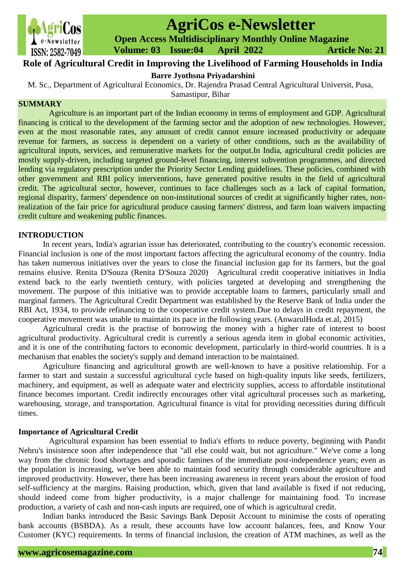

# **AgriCos e-Newsletter**

 **Open Access Multidisciplinary Monthly Online Magazine**

 **ISSN: 2582-7049 Volume: 03 Issue: 04 April 2022 Article No: 21** 

# **Role of Agricultural Credit in Improving the Livelihood of Farming Households in India**

**Barre Jyothsna Priyadarshini**

M. Sc., Department of Agricultural Economics, Dr. Rajendra Prasad Central Agricultural Universit, Pusa,

Samastipur, Bihar

### **SUMMARY**

Agriculture is an important part of the Indian economy in terms of employment and GDP. Agricultural financing is critical to the development of the farming sector and the adoption of new technologies. However, even at the most reasonable rates, any amount of credit cannot ensure increased productivity or adequate revenue for farmers, as success is dependent on a variety of other conditions, such as the availability of agricultural inputs, services, and remunerative markets for the output.In India, agricultural credit policies are mostly supply-driven, including targeted ground-level financing, interest subvention programmes, and directed lending via regulatory prescription under the Priority Sector Lending guidelines. These policies, combined with other government and RBI policy interventions, have generated positive results in the field of agricultural credit. The agricultural sector, however, continues to face challenges such as a lack of capital formation, regional disparity, farmers' dependence on non-institutional sources of credit at significantly higher rates, nonrealization of the fair price for agricultural produce causing farmers' distress, and farm loan waivers impacting credit culture and weakening public finances.

## **INTRODUCTION**

In recent years, India's agrarian issue has deteriorated, contributing to the country's economic recession. Financial inclusion is one of the most important factors affecting the agricultural economy of the country. India has taken numerous initiatives over the years to close the financial inclusion gap for its farmers, but the goal remains elusive. Renita D'Souza (Renita D'Souza 2020) Agricultural credit cooperative initiatives in India extend back to the early twentieth century, with policies targeted at developing and strengthening the movement. The purpose of this initiative was to provide acceptable loans to farmers, particularly small and marginal farmers. The Agricultural Credit Department was established by the Reserve Bank of India under the RBI Act, 1934, to provide refinancing to the cooperative credit system.Due to delays in credit repayment, the cooperative movement was unable to maintain its pace in the following years. (AnwarulHoda et.al, 2015)

Agricultural credit is the practise of borrowing the money with a higher rate of interest to boost agricultural productivity. Agricultural credit is currently a serious agenda item in global economic activities, and it is one of the contributing factors to economic development, particularly in third-world countries. It is a mechanism that enables the society's supply and demand interaction to be maintained.

Agriculture financing and agricultural growth are well-known to have a positive relationship. For a farmer to start and sustain a successful agricultural cycle based on high-quality inputs like seeds, fertilizers, machinery, and equipment, as well as adequate water and electricity supplies, access to affordable institutional finance becomes important. Credit indirectly encourages other vital agricultural processes such as marketing, warehousing, storage, and transportation. Agricultural finance is vital for providing necessities during difficult times.

## **Importance of Agricultural Credit**

Agricultural expansion has been essential to India's efforts to reduce poverty, beginning with Pandit Nehru's insistence soon after independence that "all else could wait, but not agriculture." We've come a long way from the chronic food shortages and sporadic famines of the immediate post-independence years; even as the population is increasing, we've been able to maintain food security through considerable agriculture and improved productivity. However, there has been increasing awareness in recent years about the erosion of food self-sufficiency at the margins. Raising production, which, given that land available is fixed if not reducing, should indeed come from higher productivity, is a major challenge for maintaining food. To increase production, a variety of cash and non-cash inputs are required, one of which is agricultural credit.

Indian banks introduced the Basic Savings Bank Deposit Account to minimise the costs of operating bank accounts (BSBDA). As a result, these accounts have low account balances, fees, and Know Your Customer (KYC) requirements. In terms of financial inclusion, the creation of ATM machines, as well as the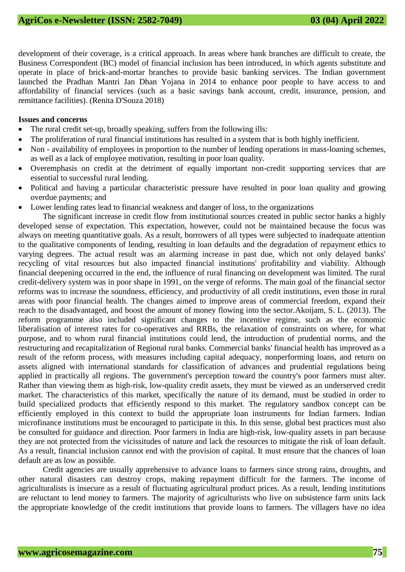development of their coverage, is a critical approach. In areas where bank branches are difficult to create, the Business Correspondent (BC) model of financial inclusion has been introduced, in which agents substitute and operate in place of brick-and-mortar branches to provide basic banking services. The Indian government launched the Pradhan Mantri Jan Dhan Yojana in 2014 to enhance poor people to have access to and affordability of financial services (such as a basic savings bank account, credit, insurance, pension, and remittance facilities). (Renita D'Souza 2018)

#### **Issues and concerns**

- The rural credit set-up, broadly speaking, suffers from the following ills:
- The proliferation of rural financial institutions has resulted in a system that is both highly inefficient.
- Non availability of employees in proportion to the number of lending operations in mass-loaning schemes, as well as a lack of employee motivation, resulting in poor loan quality.
- Overemphasis on credit at the detriment of equally important non-credit supporting services that are essential to successful rural lending.
- Political and having a particular characteristic pressure have resulted in poor loan quality and growing overdue payments; and
- Lower lending rates lead to financial weakness and danger of loss, to the organizations

The significant increase in credit flow from institutional sources created in public sector banks a highly developed sense of expectation. This expectation, however, could not be maintained because the focus was always on meeting quantitative goals. As a result, borrowers of all types were subjected to inadequate attention to the qualitative components of lending, resulting in loan defaults and the degradation of repayment ethics to varying degrees. The actual result was an alarming increase in past due, which not only delayed banks' recycling of vital resources but also impacted financial institutions' profitability and viability. Although financial deepening occurred in the end, the influence of rural financing on development was limited. The rural credit-delivery system was in poor shape in 1991, on the verge of reforms. The main goal of the financial sector reforms was to increase the soundness, efficiency, and productivity of all credit institutions, even those in rural areas with poor financial health. The changes aimed to improve areas of commercial freedom, expand their reach to the disadvantaged, and boost the amount of money flowing into the sector.Akoijam, S. L. (2013). The reform programme also included significant changes to the incentive regime, such as the economic liberalisation of interest rates for co-operatives and RRBs, the relaxation of constraints on where, for what purpose, and to whom rural financial institutions could lend, the introduction of prudential norms, and the restructuring and recapitalization of Regional rural banks. Commercial banks' financial health has improved as a result of the reform process, with measures including capital adequacy, nonperforming loans, and return on assets aligned with international standards for classification of advances and prudential regulations being applied in practically all regions. The government's perception toward the country's poor farmers must alter. Rather than viewing them as high-risk, low-quality credit assets, they must be viewed as an underserved credit market. The characteristics of this market, specifically the nature of its demand, must be studied in order to build specialized products that efficiently respond to this market. The regulatory sandbox concept can be efficiently employed in this context to build the appropriate loan instruments for Indian farmers. Indian microfinance institutions must be encouraged to participate in this. In this sense, global best practices must also be consulted for guidance and direction. Poor farmers in India are high-risk, low-quality assets in part because they are not protected from the vicissitudes of nature and lack the resources to mitigate the risk of loan default. As a result, financial inclusion cannot end with the provision of capital. It must ensure that the chances of loan default are as low as possible.

Credit agencies are usually apprehensive to advance loans to farmers since strong rains, droughts, and other natural disasters can destroy crops, making repayment difficult for the farmers. The income of agriculturalists is insecure as a result of fluctuating agricultural product prices. As a result, lending institutions are reluctant to lend money to farmers. The majority of agriculturists who live on subsistence farm units lack the appropriate knowledge of the credit institutions that provide loans to farmers. The villagers have no idea